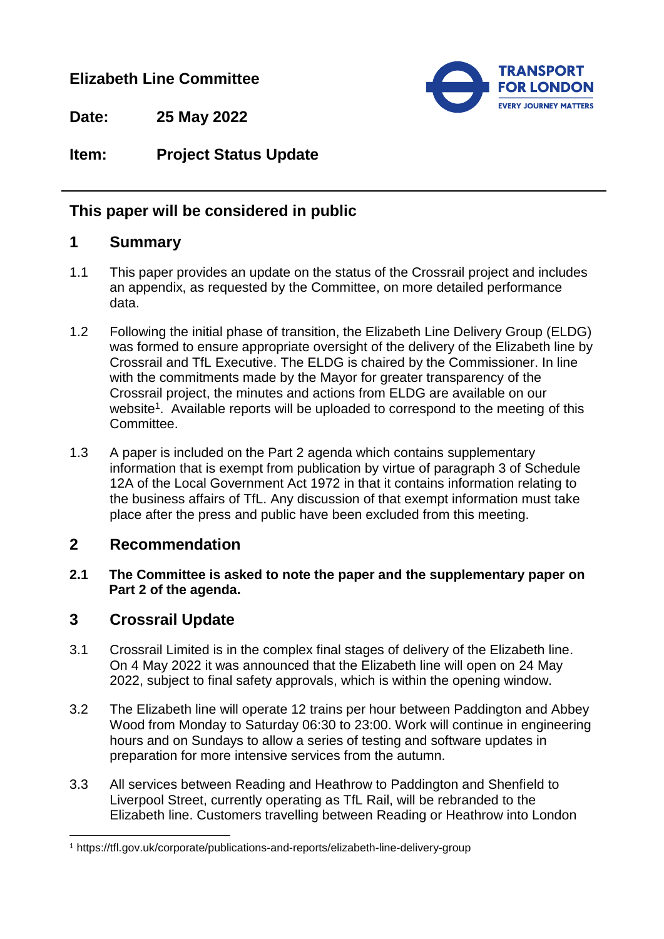## **Elizabeth Line Committee**



**Date: 25 May 2022**

## **Item: Project Status Update**

## **This paper will be considered in public**

### **1 Summary**

- 1.1 This paper provides an update on the status of the Crossrail project and includes an appendix, as requested by the Committee, on more detailed performance data.
- 1.2 Following the initial phase of transition, the Elizabeth Line Delivery Group (ELDG) was formed to ensure appropriate oversight of the delivery of the Elizabeth line by Crossrail and TfL Executive. The ELDG is chaired by the Commissioner. In line with the commitments made by the Mayor for greater transparency of the Crossrail project, the minutes and actions from ELDG are available on our website<sup>1</sup>. Available reports will be uploaded to correspond to the meeting of this Committee.
- 1.3 A paper is included on the Part 2 agenda which contains supplementary information that is exempt from publication by virtue of paragraph 3 of Schedule 12A of the Local Government Act 1972 in that it contains information relating to the business affairs of TfL. Any discussion of that exempt information must take place after the press and public have been excluded from this meeting.

#### **2 Recommendation**

**2.1 The Committee is asked to note the paper and the supplementary paper on Part 2 of the agenda.**

## **3 Crossrail Update**

l

- 3.1 Crossrail Limited is in the complex final stages of delivery of the Elizabeth line. On 4 May 2022 it was announced that the Elizabeth line will open on 24 May 2022, subject to final safety approvals, which is within the opening window.
- 3.2 The Elizabeth line will operate 12 trains per hour between Paddington and Abbey Wood from Monday to Saturday 06:30 to 23:00. Work will continue in engineering hours and on Sundays to allow a series of testing and software updates in preparation for more intensive services from the autumn.
- 3.3 All services between Reading and Heathrow to Paddington and Shenfield to Liverpool Street, currently operating as TfL Rail, will be rebranded to the Elizabeth line. Customers travelling between Reading or Heathrow into London

<sup>1</sup> https://tfl.gov.uk/corporate/publications-and-reports/elizabeth-line-delivery-group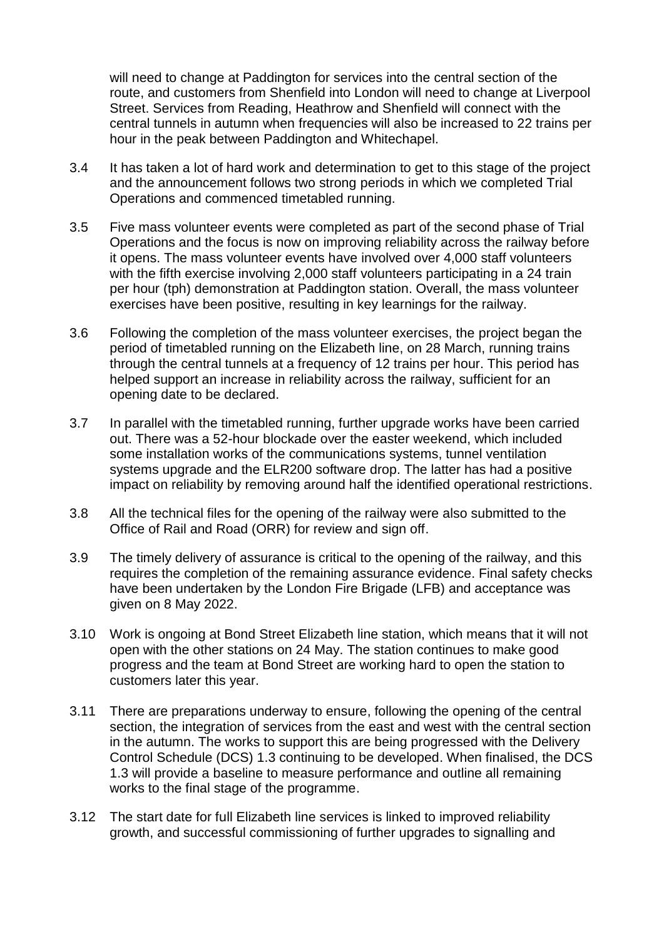will need to change at Paddington for services into the central section of the route, and customers from Shenfield into London will need to change at Liverpool Street. Services from Reading, Heathrow and Shenfield will connect with the central tunnels in autumn when frequencies will also be increased to 22 trains per hour in the peak between Paddington and Whitechapel.

- 3.4 It has taken a lot of hard work and determination to get to this stage of the project and the announcement follows two strong periods in which we completed Trial Operations and commenced timetabled running.
- 3.5 Five mass volunteer events were completed as part of the second phase of Trial Operations and the focus is now on improving reliability across the railway before it opens. The mass volunteer events have involved over 4,000 staff volunteers with the fifth exercise involving 2,000 staff volunteers participating in a 24 train per hour (tph) demonstration at Paddington station. Overall, the mass volunteer exercises have been positive, resulting in key learnings for the railway.
- 3.6 Following the completion of the mass volunteer exercises, the project began the period of timetabled running on the Elizabeth line, on 28 March, running trains through the central tunnels at a frequency of 12 trains per hour. This period has helped support an increase in reliability across the railway, sufficient for an opening date to be declared.
- 3.7 In parallel with the timetabled running, further upgrade works have been carried out. There was a 52-hour blockade over the easter weekend, which included some installation works of the communications systems, tunnel ventilation systems upgrade and the ELR200 software drop. The latter has had a positive impact on reliability by removing around half the identified operational restrictions.
- 3.8 All the technical files for the opening of the railway were also submitted to the Office of Rail and Road (ORR) for review and sign off.
- 3.9 The timely delivery of assurance is critical to the opening of the railway, and this requires the completion of the remaining assurance evidence. Final safety checks have been undertaken by the London Fire Brigade (LFB) and acceptance was given on 8 May 2022.
- 3.10 Work is ongoing at Bond Street Elizabeth line station, which means that it will not open with the other stations on 24 May. The station continues to make good progress and the team at Bond Street are working hard to open the station to customers later this year.
- 3.11 There are preparations underway to ensure, following the opening of the central section, the integration of services from the east and west with the central section in the autumn. The works to support this are being progressed with the Delivery Control Schedule (DCS) 1.3 continuing to be developed. When finalised, the DCS 1.3 will provide a baseline to measure performance and outline all remaining works to the final stage of the programme.
- 3.12 The start date for full Elizabeth line services is linked to improved reliability growth, and successful commissioning of further upgrades to signalling and